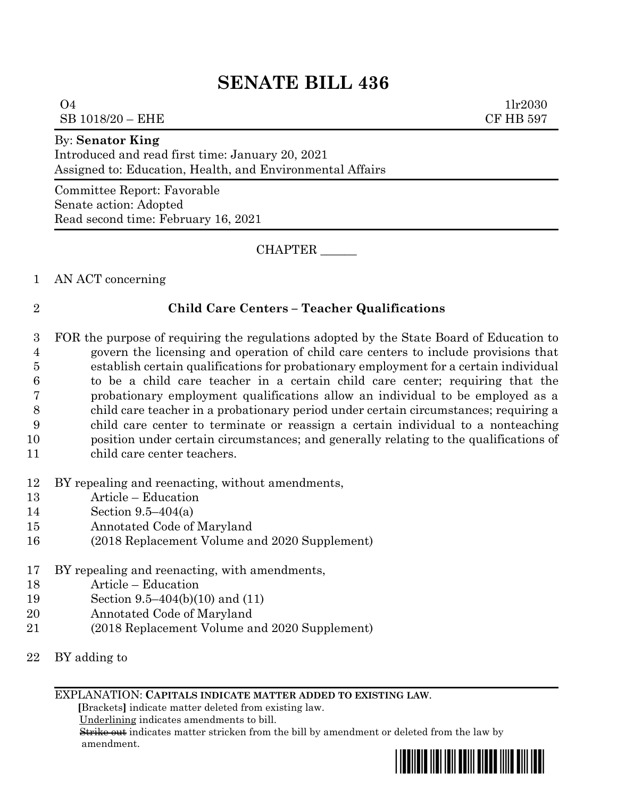## **SENATE BILL 436**

 1lr2030  $SB$  1018/20 –  $EHE$  CF HB 597

## By: **Senator King**

Introduced and read first time: January 20, 2021 Assigned to: Education, Health, and Environmental Affairs

Committee Report: Favorable Senate action: Adopted Read second time: February 16, 2021

CHAPTER \_\_\_\_\_\_

AN ACT concerning

## **Child Care Centers – Teacher Qualifications**

- FOR the purpose of requiring the regulations adopted by the State Board of Education to govern the licensing and operation of child care centers to include provisions that establish certain qualifications for probationary employment for a certain individual to be a child care teacher in a certain child care center; requiring that the probationary employment qualifications allow an individual to be employed as a child care teacher in a probationary period under certain circumstances; requiring a child care center to terminate or reassign a certain individual to a nonteaching position under certain circumstances; and generally relating to the qualifications of child care center teachers.
- BY repealing and reenacting, without amendments,
- Article Education
- Section 9.5–404(a)
- Annotated Code of Maryland
- (2018 Replacement Volume and 2020 Supplement)
- BY repealing and reenacting, with amendments,
- Article Education
- Section 9.5–404(b)(10) and (11)
- Annotated Code of Maryland
- (2018 Replacement Volume and 2020 Supplement)
- BY adding to

## EXPLANATION: **CAPITALS INDICATE MATTER ADDED TO EXISTING LAW**.

 **[**Brackets**]** indicate matter deleted from existing law.

Underlining indicates amendments to bill.

 Strike out indicates matter stricken from the bill by amendment or deleted from the law by amendment.

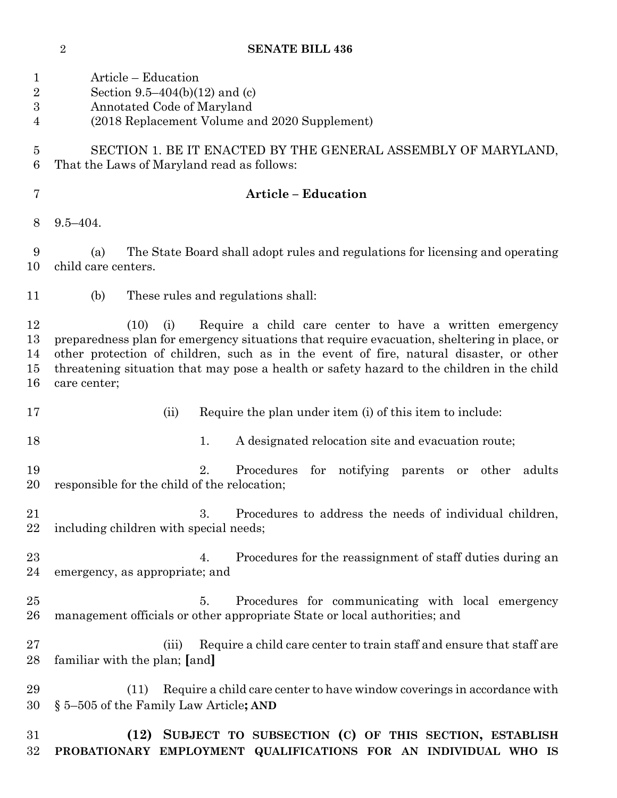**SENATE BILL 436**

| 1<br>$\overline{2}$<br>$\boldsymbol{3}$<br>4 | Article – Education<br>Section 9.5–404(b)(12) and (c)<br>Annotated Code of Maryland<br>(2018 Replacement Volume and 2020 Supplement)                                                                                                                                                                                                                                          |
|----------------------------------------------|-------------------------------------------------------------------------------------------------------------------------------------------------------------------------------------------------------------------------------------------------------------------------------------------------------------------------------------------------------------------------------|
| 5<br>6                                       | SECTION 1. BE IT ENACTED BY THE GENERAL ASSEMBLY OF MARYLAND,<br>That the Laws of Maryland read as follows:                                                                                                                                                                                                                                                                   |
| 7                                            | <b>Article - Education</b>                                                                                                                                                                                                                                                                                                                                                    |
| 8                                            | $9.5 - 404.$                                                                                                                                                                                                                                                                                                                                                                  |
| 9<br>10                                      | The State Board shall adopt rules and regulations for licensing and operating<br>(a)<br>child care centers.                                                                                                                                                                                                                                                                   |
| 11                                           | These rules and regulations shall:<br>(b)                                                                                                                                                                                                                                                                                                                                     |
| 12<br>13<br>14<br>15<br>16                   | Require a child care center to have a written emergency<br>(10)<br>(i)<br>preparedness plan for emergency situations that require evacuation, sheltering in place, or<br>other protection of children, such as in the event of fire, natural disaster, or other<br>threatening situation that may pose a health or safety hazard to the children in the child<br>care center; |
| 17                                           | Require the plan under item (i) of this item to include:<br>(ii)                                                                                                                                                                                                                                                                                                              |
| 18                                           | A designated relocation site and evacuation route;<br>1.                                                                                                                                                                                                                                                                                                                      |
| 19<br>20                                     | 2.<br>for notifying parents or other<br>Procedures<br>adults<br>responsible for the child of the relocation;                                                                                                                                                                                                                                                                  |
| 21<br>22                                     | Procedures to address the needs of individual children,<br>3.<br>including children with special needs;                                                                                                                                                                                                                                                                       |
| 23<br>24                                     | Procedures for the reassignment of staff duties during an<br>4.<br>emergency, as appropriate; and                                                                                                                                                                                                                                                                             |
| 25<br>26                                     | Procedures for communicating with local emergency<br>5.<br>management officials or other appropriate State or local authorities; and                                                                                                                                                                                                                                          |
| $27\,$<br>28                                 | Require a child care center to train staff and ensure that staff are<br>(iii)<br>familiar with the plan; [and]                                                                                                                                                                                                                                                                |
| 29<br>30                                     | Require a child care center to have window coverings in accordance with<br>(11)<br>§ 5–505 of the Family Law Article; AND                                                                                                                                                                                                                                                     |
| 31<br>$32\,$                                 | (12) SUBJECT TO SUBSECTION (C) OF THIS SECTION, ESTABLISH<br>PROBATIONARY EMPLOYMENT QUALIFICATIONS FOR AN INDIVIDUAL WHO IS                                                                                                                                                                                                                                                  |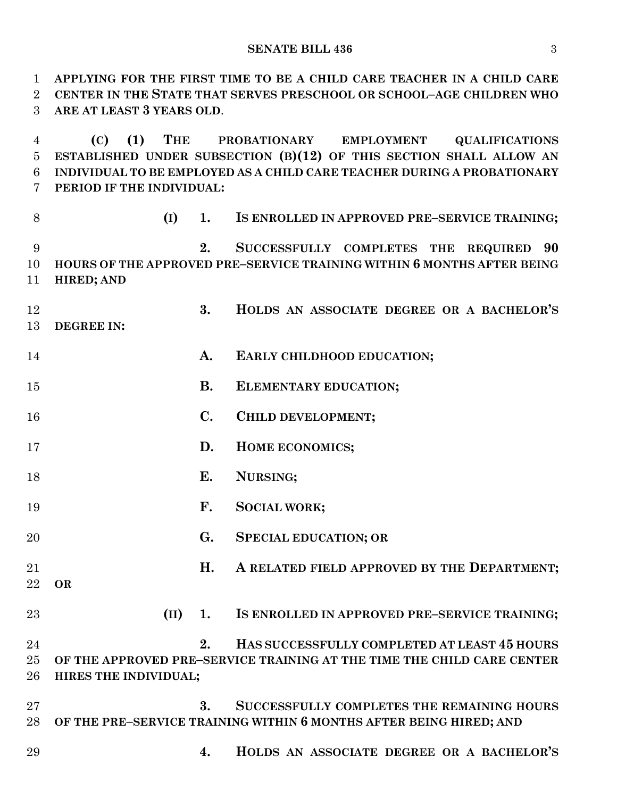**SENATE BILL 436** 3

 **APPLYING FOR THE FIRST TIME TO BE A CHILD CARE TEACHER IN A CHILD CARE CENTER IN THE STATE THAT SERVES PRESCHOOL OR SCHOOL–AGE CHILDREN WHO ARE AT LEAST 3 YEARS OLD**. **(C) (1) THE PROBATIONARY EMPLOYMENT QUALIFICATIONS ESTABLISHED UNDER SUBSECTION (B)(12) OF THIS SECTION SHALL ALLOW AN INDIVIDUAL TO BE EMPLOYED AS A CHILD CARE TEACHER DURING A PROBATIONARY PERIOD IF THE INDIVIDUAL: (I) 1. IS ENROLLED IN APPROVED PRE–SERVICE TRAINING; 2. SUCCESSFULLY COMPLETES THE REQUIRED 90 HOURS OF THE APPROVED PRE–SERVICE TRAINING WITHIN 6 MONTHS AFTER BEING HIRED; AND 3. HOLDS AN ASSOCIATE DEGREE OR A BACHELOR'S DEGREE IN: A. EARLY CHILDHOOD EDUCATION; B. ELEMENTARY EDUCATION; C. CHILD DEVELOPMENT; D. HOME ECONOMICS; E. NURSING; F. SOCIAL WORK; G. SPECIAL EDUCATION; OR H. A RELATED FIELD APPROVED BY THE DEPARTMENT OR (II) 1. IS ENROLLED IN APPROVED PRE–SERVICE TRAINING; 2. HAS SUCCESSFULLY COMPLETED AT LEAST 45 HOURS OF THE APPROVED PRE–SERVICE TRAINING AT THE TIME THE CHILD CARE CENTER HIRES THE INDIVIDUAL; 3. SUCCESSFULLY COMPLETES THE REMAINING HOURS OF THE PRE–SERVICE TRAINING WITHIN 6 MONTHS AFTER BEING HIRED; AND 4. HOLDS AN ASSOCIATE DEGREE OR A BACHELOR'S**